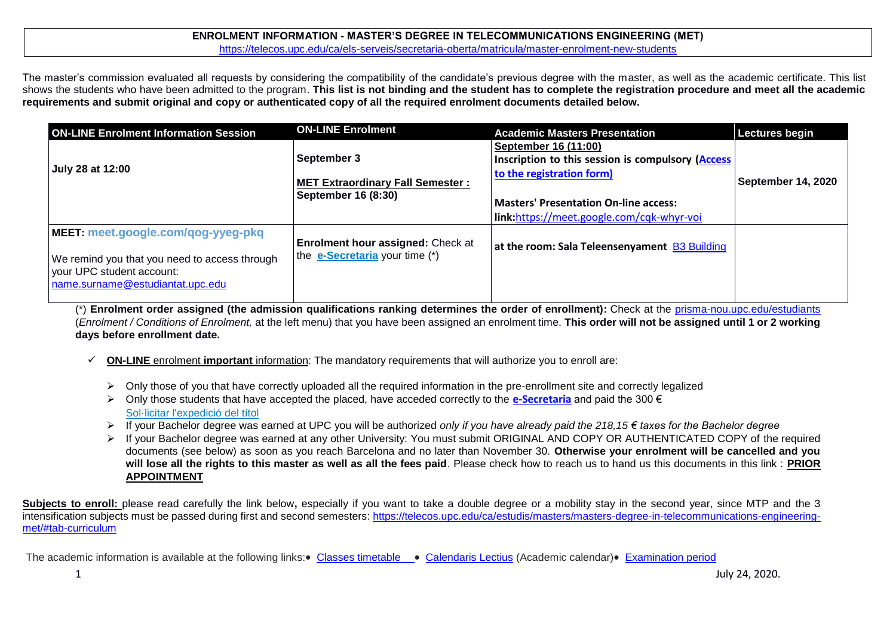### **ENROLMENT INFORMATION - MASTER'S DEGREE IN TELECOMMUNICATIONS ENGINEERING (MET)** <https://telecos.upc.edu/ca/els-serveis/secretaria-oberta/matricula/master-enrolment-new-students>

The master's commission evaluated all requests by considering the compatibility of the candidate's previous degree with the master, as well as the academic certificate. This list shows the students who have been admitted to the program. **This list is not binding and the student has to complete the registration procedure and meet all the academic requirements and submit original and copy or authenticated copy of all the required enrolment documents detailed below.**

| <b>ON-LINE Enrolment Information Session</b>                                                                                                         | <b>ON-LINE Enrolment</b>                                                       | <b>Academic Masters Presentation</b>                                                                                                                                                          | Lectures begin     |
|------------------------------------------------------------------------------------------------------------------------------------------------------|--------------------------------------------------------------------------------|-----------------------------------------------------------------------------------------------------------------------------------------------------------------------------------------------|--------------------|
| July 28 at 12:00                                                                                                                                     | <b>September 3</b><br>MET Extraordinary Fall Semester :<br>September 16 (8:30) | September 16 (11:00)<br>Inscription to this session is compulsory (Access)<br>to the registration form)<br>Masters' Presentation On-line access:<br>link:https://meet.google.com/cqk-whyr-voi | September 14, 2020 |
| MEET: meet.google.com/qog-yyeg-pkq<br>We remind you that you need to access through<br>your UPC student account:<br>name.surname@estudiantat.upc.edu | <b>Enrolment hour assigned: Check at</b><br>the e-Secretaria your time (*)     | at the room: Sala Teleensenyament B3 Building                                                                                                                                                 |                    |

(\*) **Enrolment order assigned (the admission qualifications ranking determines the order of enrollment):** Check at the [prisma-nou.upc.edu/estudiants](http://prisma-nou.upc.edu/estudiants) (*Enrolment / Conditions of Enrolment,* at the left menu) that you have been assigned an enrolment time. **This order will not be assigned until 1 or 2 working days before enrollment date.**

- **ON-LINE** enrolment **important** information: The mandatory requirements that will authorize you to enroll are:
	- $\triangleright$  Only those of you that have correctly uploaded all the required information in the pre-enrollment site and correctly legalized
	- Only those students that have accepted the placed, have acceded correctly to the **[e-Secretaria](https://prisma-nou.upc.edu/apl/home_estudiants.php)** and paid the 300 € [Sol·licitar l'expedició del títol](https://telecos.upc.edu/ca/els-serveis/secretaria-oberta/certificats/titol-i-suplement-europeu-al-titol#section-1)
	- If your Bachelor degree was earned at UPC you will be authorized *only if you have already paid the 218,15 € taxes for the Bachelor degree*
	- If your Bachelor degree was earned at any other University: You must submit ORIGINAL AND COPY OR AUTHENTICATED COPY of the required documents (see below) as soon as you reach Barcelona and no later than November 30. **Otherwise your enrolment will be cancelled and you will lose all the rights to this master as well as all the fees paid**. Please check how to reach us to hand us this documents in this link : **[PRIOR](https://telecos.upc.edu/ca/els-serveis/secretaria-oberta/cita-previa)  [APPOINTMENT](https://telecos.upc.edu/ca/els-serveis/secretaria-oberta/cita-previa)**

Subjects to enroll: please read carefully the link below, especially if you want to take a double degree or a mobility stay in the second year, since MTP and the 3 intensification subjects must be passed during first and second semesters: [https://telecos.upc.edu/ca/estudis/masters/masters-degree-in-telecommunications-engineering](https://telecos.upc.edu/ca/estudis/masters/masters-degree-in-telecommunications-engineering-met/#tab-curriculum)[met/#tab-curriculum](https://telecos.upc.edu/ca/estudis/masters/masters-degree-in-telecommunications-engineering-met/#tab-curriculum)

The academic information is available at the following links: [Classes timetable](https://telecos.upc.edu/ca/estudis/curs-actual/horaris-aules-i-calendaris/horaris-de-classe) . [Calendaris Lectius](https://telecos.upc.edu/ca/estudis/curs-actual/calendari-lectiu) (Academic calendar) [Examination period](https://telecos.upc.edu/ca/estudis/curs-actual/horaris-aules-i-calendaris/calendari-dexamens)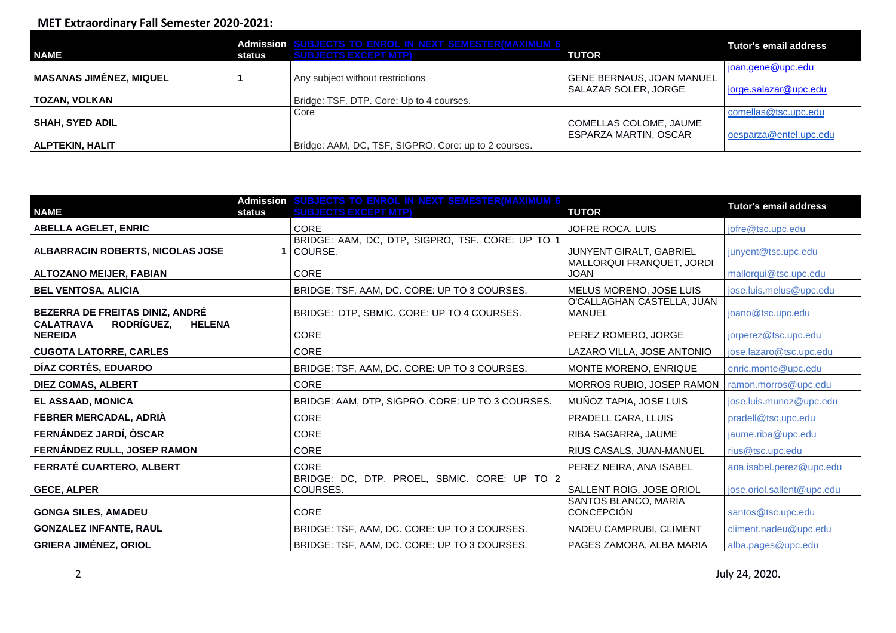# **MET Extraordinary Fall Semester 2020-2021:**

| <b>NAME</b>                    | status | Admission SUBJECTS TO ENROL IN NEXT SEMESTER(MAXIMUM 6<br><b>SUBJECTS EXCEPT MTP)</b> | <b>TUTOR</b>                     | <b>Tutor's email address</b> |
|--------------------------------|--------|---------------------------------------------------------------------------------------|----------------------------------|------------------------------|
|                                |        |                                                                                       |                                  | joan.gene@upc.edu            |
| <b>MASANAS JIMÉNEZ, MIQUEL</b> |        | Any subject without restrictions                                                      | <b>GENE BERNAUS, JOAN MANUEL</b> |                              |
|                                |        |                                                                                       | SALAZAR SOLER, JORGE             | jorge.salazar@upc.edu        |
| TOZAN, VOLKAN                  |        | Bridge: TSF, DTP. Core: Up to 4 courses.                                              |                                  |                              |
|                                |        | Core                                                                                  |                                  | comellas@tsc.upc.edu         |
| <b>SHAH, SYED ADIL</b>         |        |                                                                                       | COMELLAS COLOME, JAUME           |                              |
|                                |        |                                                                                       | ESPARZA MARTIN, OSCAR            | oesparza@entel.upc.edu       |
| ALPTEKIN, HALIT                |        | Bridge: AAM, DC, TSF, SIGPRO. Core: up to 2 courses.                                  |                                  |                              |

| <b>NAME</b>                                                       | <b>Admission</b><br><b>status</b> | <b>SUBJECTS TO ENROL IN NEXT SEMESTER(MAXIMUM 6)</b><br><b>SUBJECTS EXCEPT MTP)</b> | <b>TUTOR</b>                                | <b>Tutor's email address</b> |
|-------------------------------------------------------------------|-----------------------------------|-------------------------------------------------------------------------------------|---------------------------------------------|------------------------------|
| <b>ABELLA AGELET, ENRIC</b>                                       |                                   | CORE                                                                                | JOFRE ROCA, LUIS                            | jofre@tsc.upc.edu            |
| ALBARRACIN ROBERTS, NICOLAS JOSE                                  |                                   | BRIDGE: AAM, DC, DTP, SIGPRO, TSF. CORE: UP TO 1<br>COURSE.                         | JUNYENT GIRALT, GABRIEL                     | junyent@tsc.upc.edu          |
| <b>ALTOZANO MEIJER, FABIAN</b>                                    |                                   | <b>CORE</b>                                                                         | MALLORQUI FRANQUET, JORDI<br><b>JOAN</b>    | mallorqui@tsc.upc.edu        |
| <b>BEL VENTOSA, ALICIA</b>                                        |                                   | BRIDGE: TSF, AAM, DC. CORE: UP TO 3 COURSES.                                        | MELUS MORENO, JOSE LUIS                     | jose.luis.melus@upc.edu      |
| BEZERRA DE FREITAS DINIZ, ANDRÉ                                   |                                   | BRIDGE: DTP, SBMIC. CORE: UP TO 4 COURSES.                                          | O'CALLAGHAN CASTELLA, JUAN<br><b>MANUEL</b> | joano@tsc.upc.edu            |
| <b>CALATRAVA</b><br>RODRIGUEZ.<br><b>HELENA</b><br><b>NEREIDA</b> |                                   | <b>CORE</b>                                                                         | PEREZ ROMERO, JORGE                         | jorperez@tsc.upc.edu         |
| <b>CUGOTA LATORRE, CARLES</b>                                     |                                   | <b>CORE</b>                                                                         | LAZARO VILLA, JOSE ANTONIO                  | jose.lazaro@tsc.upc.edu      |
| DÍAZ CORTÉS, EDUARDO                                              |                                   | BRIDGE: TSF, AAM, DC. CORE: UP TO 3 COURSES.                                        | MONTE MORENO, ENRIQUE                       | enric.monte@upc.edu          |
| <b>DIEZ COMAS, ALBERT</b>                                         |                                   | <b>CORE</b>                                                                         | MORROS RUBIO, JOSEP RAMON                   | ramon.morros@upc.edu         |
| EL ASSAAD, MONICA                                                 |                                   | BRIDGE: AAM, DTP, SIGPRO. CORE: UP TO 3 COURSES.                                    | MUÑOZ TAPIA, JOSE LUIS                      | jose.luis.munoz@upc.edu      |
| FEBRER MERCADAL, ADRIÀ                                            |                                   | <b>CORE</b>                                                                         | PRADELL CARA, LLUIS                         | pradell@tsc.upc.edu          |
| FERNÁNDEZ JARDÍ, ÒSCAR                                            |                                   | <b>CORE</b>                                                                         | RIBA SAGARRA, JAUME                         | jaume.riba@upc.edu           |
| FERNÁNDEZ RULL, JOSEP RAMON                                       |                                   | CORE                                                                                | RIUS CASALS, JUAN-MANUEL                    | rius@tsc.upc.edu             |
| FERRATÉ CUARTERO, ALBERT                                          |                                   | CORE                                                                                | PEREZ NEIRA, ANA ISABEL                     | ana.isabel.perez@upc.edu     |
| <b>GECE, ALPER</b>                                                |                                   | BRIDGE: DC, DTP, PROEL, SBMIC. CORE: UP TO 2<br>COURSES.                            | SALLENT ROIG, JOSE ORIOL                    | jose.oriol.sallent@upc.edu   |
| <b>GONGA SILES, AMADEU</b>                                        |                                   | <b>CORE</b>                                                                         | SANTOS BLANCO, MARÍA<br><b>CONCEPCIÓN</b>   | santos@tsc.upc.edu           |
| <b>GONZALEZ INFANTE, RAUL</b>                                     |                                   | BRIDGE: TSF, AAM, DC. CORE: UP TO 3 COURSES.                                        | NADEU CAMPRUBI, CLIMENT                     | climent.nadeu@upc.edu        |
| <b>GRIERA JIMÉNEZ, ORIOL</b>                                      |                                   | BRIDGE: TSF, AAM, DC. CORE: UP TO 3 COURSES.                                        | PAGES ZAMORA, ALBA MARIA                    | alba.pages@upc.edu           |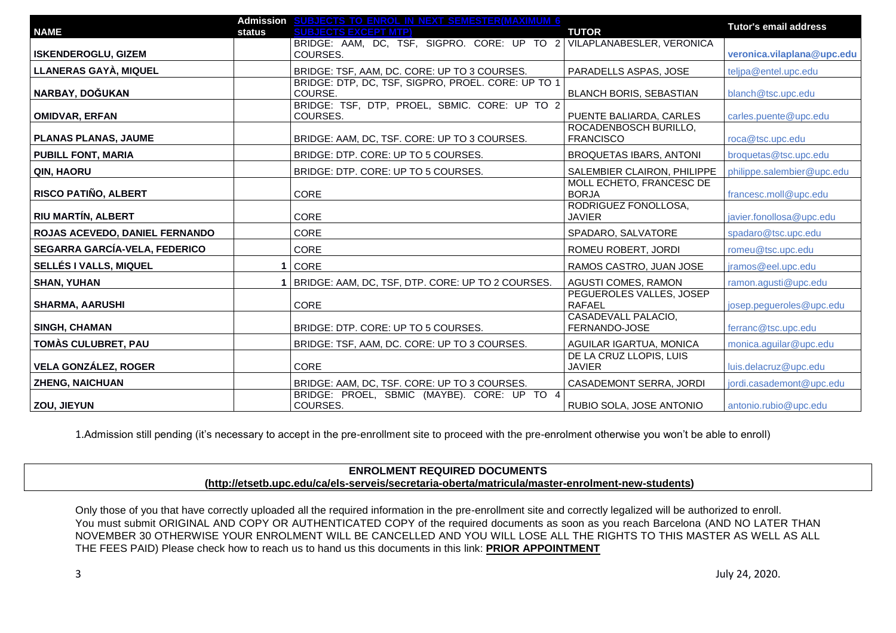|                                |        | Admission SUBJECTS TO ENROL IN NEXT SEMESTER(MAXIMUM 6                |                                             | <b>Tutor's email address</b> |
|--------------------------------|--------|-----------------------------------------------------------------------|---------------------------------------------|------------------------------|
| <b>NAME</b>                    | status | <b>SUBJECTS EXCEPT MTP)</b>                                           | <b>TUTOR</b>                                |                              |
|                                |        | BRIDGE: AAM, DC, TSF, SIGPRO. CORE: UP TO 2 VILAPLANABESLER, VERONICA |                                             |                              |
| <b>ISKENDEROGLU, GIZEM</b>     |        | COURSES.                                                              |                                             | veronica.vilaplana@upc.edu   |
| LLANERAS GAYÀ, MIQUEL          |        | BRIDGE: TSF, AAM, DC. CORE: UP TO 3 COURSES.                          | PARADELLS ASPAS, JOSE                       | teljpa@entel.upc.edu         |
| NARBAY, DOĞUKAN                |        | BRIDGE: DTP, DC, TSF, SIGPRO, PROEL. CORE: UP TO 1<br>COURSE.         | <b>BLANCH BORIS, SEBASTIAN</b>              | blanch@tsc.upc.edu           |
| <b>OMIDVAR, ERFAN</b>          |        | BRIDGE: TSF, DTP, PROEL, SBMIC. CORE: UP TO 2<br>COURSES.             | PUENTE BALIARDA, CARLES                     | carles.puente@upc.edu        |
| <b>PLANAS PLANAS, JAUME</b>    |        | BRIDGE: AAM, DC, TSF. CORE: UP TO 3 COURSES.                          | ROCADENBOSCH BURILLO.<br><b>FRANCISCO</b>   | roca@tsc.upc.edu             |
| <b>PUBILL FONT, MARIA</b>      |        | BRIDGE: DTP. CORE: UP TO 5 COURSES.                                   | <b>BROQUETAS IBARS, ANTONI</b>              | broquetas@tsc.upc.edu        |
| QIN, HAORU                     |        | BRIDGE: DTP. CORE: UP TO 5 COURSES.                                   | SALEMBIER CLAIRON, PHILIPPE                 | philippe.salembier@upc.edu   |
| RISCO PATIÑO, ALBERT           |        | CORE                                                                  | MOLL ECHETO, FRANCESC DE<br><b>BORJA</b>    | francesc.moll@upc.edu        |
| RIU MARTÍN, ALBERT             |        | CORE                                                                  | RODRIGUEZ FONOLLOSA,<br><b>JAVIER</b>       | javier.fonollosa@upc.edu     |
| ROJAS ACEVEDO, DANIEL FERNANDO |        | <b>CORE</b>                                                           | SPADARO, SALVATORE                          | spadaro@tsc.upc.edu          |
| SEGARRA GARCÍA-VELA, FEDERICO  |        | <b>CORE</b>                                                           | ROMEU ROBERT, JORDI                         | romeu@tsc.upc.edu            |
| SELLÉS I VALLS, MIQUEL         |        | CORE                                                                  | RAMOS CASTRO, JUAN JOSE                     | jramos@eel.upc.edu           |
| <b>SHAN, YUHAN</b>             |        | BRIDGE: AAM, DC, TSF, DTP. CORE: UP TO 2 COURSES.                     | <b>AGUSTI COMES, RAMON</b>                  | ramon.agusti@upc.edu         |
| <b>SHARMA, AARUSHI</b>         |        | CORE                                                                  | PEGUEROLES VALLES, JOSEP<br><b>RAFAEL</b>   | josep.pegueroles@upc.edu     |
| <b>SINGH, CHAMAN</b>           |        | BRIDGE: DTP. CORE: UP TO 5 COURSES.                                   | <b>CASADEVALL PALACIO,</b><br>FERNANDO-JOSE | ferranc@tsc.upc.edu          |
| TOMÀS CULUBRET, PAU            |        | BRIDGE: TSF, AAM, DC. CORE: UP TO 3 COURSES.                          | AGUILAR IGARTUA, MONICA                     | monica.aguilar@upc.edu       |
| <b>VELA GONZÁLEZ, ROGER</b>    |        | CORE                                                                  | DE LA CRUZ LLOPIS, LUIS<br><b>JAVIER</b>    | luis.delacruz@upc.edu        |
| <b>ZHENG, NAICHUAN</b>         |        | BRIDGE: AAM, DC, TSF. CORE: UP TO 3 COURSES.                          | CASADEMONT SERRA, JORDI                     | jordi.casademont@upc.edu     |
| ZOU, JIEYUN                    |        | BRIDGE: PROEL, SBMIC (MAYBE). CORE: UP TO 4<br>COURSES.               | RUBIO SOLA, JOSE ANTONIO                    | antonio.rubio@upc.edu        |

1.Admission still pending (it's necessary to accept in the pre-enrollment site to proceed with the pre-enrolment otherwise you won't be able to enroll)

# **ENROLMENT REQUIRED DOCUMENTS [\(http://etsetb.upc.edu/ca/els-serveis/secretaria-oberta/matricula/master-enrolment-new-students\)](http://etsetb.upc.edu/ca/els-serveis/secretaria-oberta/matricula/master-enrolment-new-students)**

Only those of you that have correctly uploaded all the required information in the pre-enrollment site and correctly legalized will be authorized to enroll. You must submit ORIGINAL AND COPY OR AUTHENTICATED COPY of the required documents as soon as you reach Barcelona (AND NO LATER THAN NOVEMBER 30 OTHERWISE YOUR ENROLMENT WILL BE CANCELLED AND YOU WILL LOSE ALL THE RIGHTS TO THIS MASTER AS WELL AS ALL THE FEES PAID) Please check how to reach us to hand us this documents in this link: **[PRIOR APPOINTMENT](https://telecos.upc.edu/ca/els-serveis/secretaria-oberta/cita-previa)**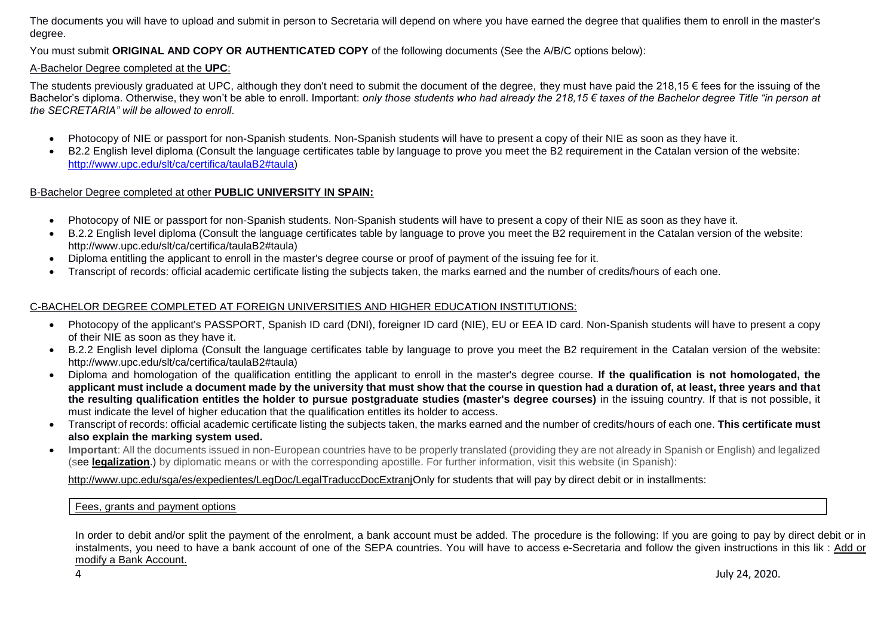The documents you will have to upload and submit in person to Secretaria will depend on where you have earned the degree that qualifies them to enroll in the master's degree.

You must submit **ORIGINAL AND COPY OR AUTHENTICATED COPY** of the following documents (See the A/B/C options below):

## A-Bachelor Degree completed at the **UPC**:

The students previously graduated at UPC, although they don't need to submit the document of the degree, they must have paid the 218,15  $\epsilon$  fees for the issuing of the Bachelor's diploma. Otherwise, they won't be able to enroll. Important: *only those students who had already the 218,15 € taxes of the Bachelor degree Title "in person at the SECRETARIA" will be allowed to enroll*.

- Photocopy of NIE or passport for non-Spanish students. Non-Spanish students will have to present a copy of their NIE as soon as they have it.
- B2.2 English level diploma (Consult the language certificates table by language to prove you meet the B2 requirement in the Catalan version of the website: [http://www.upc.edu/slt/ca/certifica/taulaB2#taula\)](http://www.upc.edu/slt/ca/certifica/taulaB2#taula)

## B-Bachelor Degree completed at other **PUBLIC UNIVERSITY IN SPAIN:**

- Photocopy of NIE or passport for non-Spanish students. Non-Spanish students will have to present a copy of their NIE as soon as they have it.
- B.2.2 English level diploma (Consult the language certificates table by language to prove you meet the B2 requirement in the Catalan version of the website: http://www.upc.edu/slt/ca/certifica/taulaB2#taula)
- Diploma entitling the applicant to enroll in the master's degree course or proof of payment of the issuing fee for it.
- Transcript of records: official academic certificate listing the subjects taken, the marks earned and the number of credits/hours of each one.

# C-BACHELOR DEGREE COMPLETED AT FOREIGN UNIVERSITIES AND HIGHER EDUCATION INSTITUTIONS:

- Photocopy of the applicant's PASSPORT, Spanish ID card (DNI), foreigner ID card (NIE), EU or EEA ID card. Non-Spanish students will have to present a copy of their NIE as soon as they have it.
- B.2.2 English level diploma (Consult the language certificates table by language to prove you meet the B2 requirement in the Catalan version of the website: http://www.upc.edu/slt/ca/certifica/taulaB2#taula)
- Diploma and homologation of the qualification entitling the applicant to enroll in the master's degree course. **If the qualification is not homologated, the applicant must include a document made by the university that must show that the course in question had a duration of, at least, three years and that the resulting qualification entitles the holder to pursue postgraduate studies (master's degree courses)** in the issuing country. If that is not possible, it must indicate the level of higher education that the qualification entitles its holder to access.
- Transcript of records: official academic certificate listing the subjects taken, the marks earned and the number of credits/hours of each one. **This certificate must also explain the marking system used.**
- **Important**: All the documents issued in non-European countries have to be properly translated (providing they are not already in Spanish or English) and legalized (see **[legalization](https://translate.google.es/translate?sl=ca&tl=en&js=y&prev=_t&hl=es&ie=UTF-8&u=http%3A%2F%2Fwww.upc.edu%2Fsga%2Fca%2Fexpedient%2FLegalitzacioDocuments%2FLegalitzacioTraduccioDocumentsEstrangers&edit-text=)**.) by diplomatic means or with the corresponding apostille. For further information, visit this website (in Spanish):

[http://www.upc.edu/sga/es/expedientes/LegDoc/LegalTraduccDocExtranjO](http://www.upc.edu/sga/es/expedientes/LegDoc/LegalTraduccDocExtranj)nly for students that will pay by direct debit or in installments:

[Fees, grants and payment options](https://www.upc.edu/en/masters/fees-grants)

In order to debit and/or split the payment of the enrolment, a bank account must be added. The procedure is the following: If you are going to pay by direct debit or in instalments, you need to have a bank account of one of the SEPA countries. You will have to access e-Secretaria and follow the given instructions in this lik : [Add or](https://telecos.upc.edu/ca/els-serveis/secretaria-oberta/matricula/afegir-o-modificar-compte-corrent#section-2)  [modify a Bank Account.](https://telecos.upc.edu/ca/els-serveis/secretaria-oberta/matricula/afegir-o-modificar-compte-corrent#section-2)